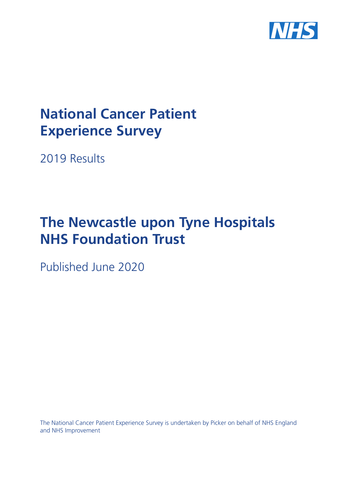

# **National Cancer Patient Experience Survey**

2019 Results

# **The Newcastle upon Tyne Hospitals NHS Foundation Trust**

Published June 2020

The National Cancer Patient Experience Survey is undertaken by Picker on behalf of NHS England and NHS Improvement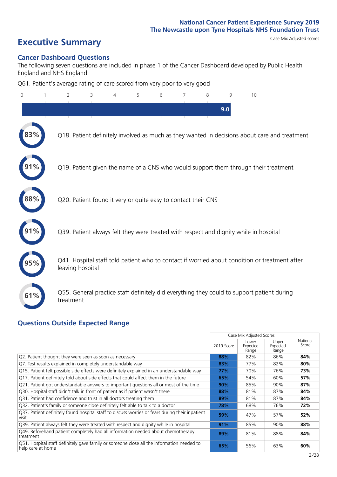# **Executive Summary** Case Mix Adjusted scores

### **Cancer Dashboard Questions**

The following seven questions are included in phase 1 of the Cancer Dashboard developed by Public Health England and NHS England:

Q61. Patient's average rating of care scored from very poor to very good

| $\overline{0}$ | 2                | 3                                                             | 4 | 5 | 6 | 7 | 8 | 9<br>9.0 | 10                                                                                            |  |
|----------------|------------------|---------------------------------------------------------------|---|---|---|---|---|----------|-----------------------------------------------------------------------------------------------|--|
|                |                  |                                                               |   |   |   |   |   |          | Q18. Patient definitely involved as much as they wanted in decisions about care and treatment |  |
|                |                  |                                                               |   |   |   |   |   |          | Q19. Patient given the name of a CNS who would support them through their treatment           |  |
|                |                  | Q20. Patient found it very or quite easy to contact their CNS |   |   |   |   |   |          |                                                                                               |  |
|                |                  |                                                               |   |   |   |   |   |          | Q39. Patient always felt they were treated with respect and dignity while in hospital         |  |
|                | leaving hospital |                                                               |   |   |   |   |   |          | Q41. Hospital staff told patient who to contact if worried about condition or treatment after |  |
| 61%            | treatment        |                                                               |   |   |   |   |   |          | Q55. General practice staff definitely did everything they could to support patient during    |  |
|                |                  |                                                               |   |   |   |   |   |          |                                                                                               |  |

### **Questions Outside Expected Range**

|                                                                                                                |            | Case Mix Adjusted Scores   |                            |                   |
|----------------------------------------------------------------------------------------------------------------|------------|----------------------------|----------------------------|-------------------|
|                                                                                                                | 2019 Score | Lower<br>Expected<br>Range | Upper<br>Expected<br>Range | National<br>Score |
| Q2. Patient thought they were seen as soon as necessary                                                        | 88%        | 82%                        | 86%                        | 84%               |
| Q7. Test results explained in completely understandable way                                                    | 83%        | 77%                        | 82%                        | 80%               |
| Q15. Patient felt possible side effects were definitely explained in an understandable way                     | 77%        | 70%                        | 76%                        | 73%               |
| Q17. Patient definitely told about side effects that could affect them in the future                           | 65%        | 54%                        | 60%                        | 57%               |
| Q21. Patient got understandable answers to important questions all or most of the time                         | 90%        | 85%                        | 90%                        | 87%               |
| Q30. Hospital staff didn't talk in front of patient as if patient wasn't there                                 | 88%        | 81%                        | 87%                        | 84%               |
| Q31. Patient had confidence and trust in all doctors treating them                                             | 89%        | 81%                        | 87%                        | 84%               |
| Q32. Patient's family or someone close definitely felt able to talk to a doctor                                | 78%        | 68%                        | 76%                        | 72%               |
| Q37. Patient definitely found hospital staff to discuss worries or fears during their inpatient<br>visit       | 59%        | 47%                        | 57%                        | 52%               |
| Q39. Patient always felt they were treated with respect and dignity while in hospital                          | 91%        | 85%                        | 90%                        | 88%               |
| Q49. Beforehand patient completely had all information needed about chemotherapy<br>treatment                  | 89%        | 81%                        | 88%                        | 84%               |
| Q51. Hospital staff definitely gave family or someone close all the information needed to<br>help care at home | 65%        | 56%                        | 63%                        | 60%               |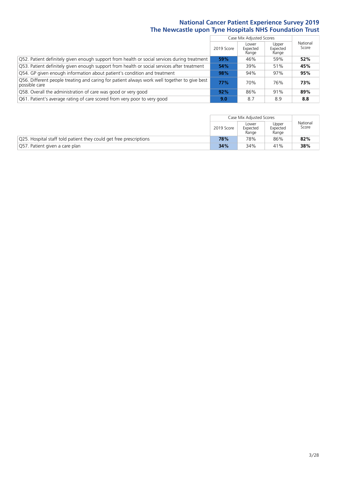|                                                                                                               |               | Case Mix Adjusted Scores   |                            |                   |
|---------------------------------------------------------------------------------------------------------------|---------------|----------------------------|----------------------------|-------------------|
|                                                                                                               | 2019 Score    | Lower<br>Expected<br>Range | Upper<br>Expected<br>Range | National<br>Score |
| Q52. Patient definitely given enough support from health or social services during treatment                  | 59%           | 46%                        | 59%                        | 52%               |
| Q53. Patient definitely given enough support from health or social services after treatment                   | 54%           | 39%                        | 51%                        | 45%               |
| Q54. GP given enough information about patient's condition and treatment                                      | 98%           | 94%                        | 97%                        | 95%               |
| Q56. Different people treating and caring for patient always work well together to give best<br>possible care | 77%           | 70%                        | 76%                        | 73%               |
| Q58. Overall the administration of care was good or very good                                                 | 92%           | 86%                        | 91%                        | 89%               |
| Q61. Patient's average rating of care scored from very poor to very good                                      | $9.0^{\circ}$ | 8.7                        | 8.9                        | 8.8               |

|                                                                    |            | Case Mix Adjusted Scores<br>Upper<br>Lower |                   |                   |  |
|--------------------------------------------------------------------|------------|--------------------------------------------|-------------------|-------------------|--|
|                                                                    | 2019 Score | Expected<br>Range                          | Expected<br>Range | National<br>Score |  |
| Q25. Hospital staff told patient they could get free prescriptions | 78%        | 78%                                        | 86%               | 82%               |  |
| Q57. Patient given a care plan                                     | 34%        | 34%                                        | 41%               | 38%               |  |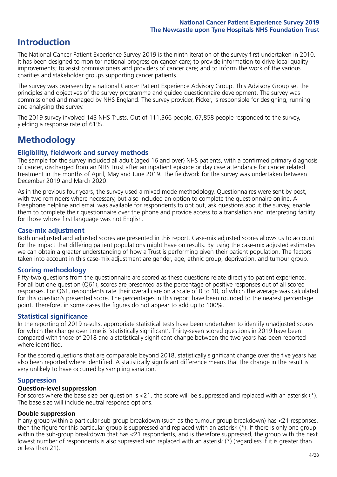# **Introduction**

The National Cancer Patient Experience Survey 2019 is the ninth iteration of the survey first undertaken in 2010. It has been designed to monitor national progress on cancer care; to provide information to drive local quality improvements; to assist commissioners and providers of cancer care; and to inform the work of the various charities and stakeholder groups supporting cancer patients.

The survey was overseen by a national Cancer Patient Experience Advisory Group. This Advisory Group set the principles and objectives of the survey programme and guided questionnaire development. The survey was commissioned and managed by NHS England. The survey provider, Picker, is responsible for designing, running and analysing the survey.

The 2019 survey involved 143 NHS Trusts. Out of 111,366 people, 67,858 people responded to the survey, yielding a response rate of 61%.

# **Methodology**

### **Eligibility, eldwork and survey methods**

The sample for the survey included all adult (aged 16 and over) NHS patients, with a confirmed primary diagnosis of cancer, discharged from an NHS Trust after an inpatient episode or day case attendance for cancer related treatment in the months of April, May and June 2019. The fieldwork for the survey was undertaken between December 2019 and March 2020.

As in the previous four years, the survey used a mixed mode methodology. Questionnaires were sent by post, with two reminders where necessary, but also included an option to complete the questionnaire online. A Freephone helpline and email was available for respondents to opt out, ask questions about the survey, enable them to complete their questionnaire over the phone and provide access to a translation and interpreting facility for those whose first language was not English.

### **Case-mix adjustment**

Both unadjusted and adjusted scores are presented in this report. Case-mix adjusted scores allows us to account for the impact that differing patient populations might have on results. By using the case-mix adjusted estimates we can obtain a greater understanding of how a Trust is performing given their patient population. The factors taken into account in this case-mix adjustment are gender, age, ethnic group, deprivation, and tumour group.

## **Scoring methodology**

Fifty-two questions from the questionnaire are scored as these questions relate directly to patient experience. For all but one question (Q61), scores are presented as the percentage of positive responses out of all scored responses. For Q61, respondents rate their overall care on a scale of 0 to 10, of which the average was calculated for this question's presented score. The percentages in this report have been rounded to the nearest percentage point. Therefore, in some cases the figures do not appear to add up to 100%.

### **Statistical significance**

In the reporting of 2019 results, appropriate statistical tests have been undertaken to identify unadjusted scores for which the change over time is 'statistically significant'. Thirty-seven scored questions in 2019 have been compared with those of 2018 and a statistically significant change between the two years has been reported where identified.

For the scored questions that are comparable beyond 2018, statistically significant change over the five years has also been reported where identified. A statistically significant difference means that the change in the result is very unlikely to have occurred by sampling variation.

### **Suppression**

### **Question-level suppression**

For scores where the base size per question is  $<$ 21, the score will be suppressed and replaced with an asterisk (\*). The base size will include neutral response options.

### **Double suppression**

If any group within a particular sub-group breakdown (such as the tumour group breakdown) has <21 responses, then the figure for this particular group is suppressed and replaced with an asterisk (\*). If there is only one group within the sub-group breakdown that has <21 respondents, and is therefore suppressed, the group with the next lowest number of respondents is also supressed and replaced with an asterisk (\*) (regardless if it is greater than or less than 21).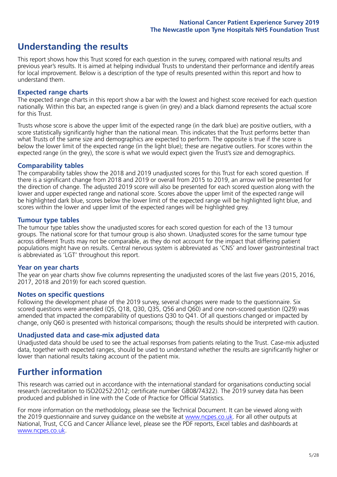# **Understanding the results**

This report shows how this Trust scored for each question in the survey, compared with national results and previous year's results. It is aimed at helping individual Trusts to understand their performance and identify areas for local improvement. Below is a description of the type of results presented within this report and how to understand them.

### **Expected range charts**

The expected range charts in this report show a bar with the lowest and highest score received for each question nationally. Within this bar, an expected range is given (in grey) and a black diamond represents the actual score for this Trust.

Trusts whose score is above the upper limit of the expected range (in the dark blue) are positive outliers, with a score statistically significantly higher than the national mean. This indicates that the Trust performs better than what Trusts of the same size and demographics are expected to perform. The opposite is true if the score is below the lower limit of the expected range (in the light blue); these are negative outliers. For scores within the expected range (in the grey), the score is what we would expect given the Trust's size and demographics.

### **Comparability tables**

The comparability tables show the 2018 and 2019 unadjusted scores for this Trust for each scored question. If there is a significant change from 2018 and 2019 or overall from 2015 to 2019, an arrow will be presented for the direction of change. The adjusted 2019 score will also be presented for each scored question along with the lower and upper expected range and national score. Scores above the upper limit of the expected range will be highlighted dark blue, scores below the lower limit of the expected range will be highlighted light blue, and scores within the lower and upper limit of the expected ranges will be highlighted grey.

### **Tumour type tables**

The tumour type tables show the unadjusted scores for each scored question for each of the 13 tumour groups. The national score for that tumour group is also shown. Unadjusted scores for the same tumour type across different Trusts may not be comparable, as they do not account for the impact that differing patient populations might have on results. Central nervous system is abbreviated as 'CNS' and lower gastrointestinal tract is abbreviated as 'LGT' throughout this report.

#### **Year on year charts**

The year on year charts show five columns representing the unadjusted scores of the last five years (2015, 2016, 2017, 2018 and 2019) for each scored question.

#### **Notes on specific questions**

Following the development phase of the 2019 survey, several changes were made to the questionnaire. Six scored questions were amended (Q5, Q18, Q30, Q35, Q56 and Q60) and one non-scored question (Q29) was amended that impacted the comparability of questions Q30 to Q41. Of all questions changed or impacted by change, only Q60 is presented with historical comparisons; though the results should be interpreted with caution.

### **Unadjusted data and case-mix adjusted data**

Unadjusted data should be used to see the actual responses from patients relating to the Trust. Case-mix adjusted data, together with expected ranges, should be used to understand whether the results are significantly higher or lower than national results taking account of the patient mix.

# **Further information**

This research was carried out in accordance with the international standard for organisations conducting social research (accreditation to ISO20252:2012; certificate number GB08/74322). The 2019 survey data has been produced and published in line with the Code of Practice for Official Statistics.

For more information on the methodology, please see the Technical Document. It can be viewed along with the 2019 questionnaire and survey quidance on the website at [www.ncpes.co.uk](https://www.ncpes.co.uk/supporting-documents). For all other outputs at National, Trust, CCG and Cancer Alliance level, please see the PDF reports, Excel tables and dashboards at [www.ncpes.co.uk.](https://www.ncpes.co.uk/current-results)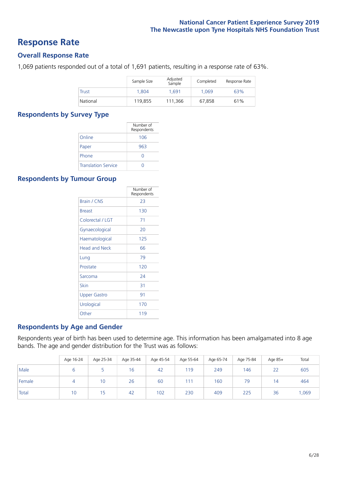# **Response Rate**

### **Overall Response Rate**

1,069 patients responded out of a total of 1,691 patients, resulting in a response rate of 63%.

|          | Sample Size | Adjusted<br>Sample | Completed | Response Rate |
|----------|-------------|--------------------|-----------|---------------|
| Trust    | 1.804       | 1.691              | 1.069     | 63%           |
| National | 119,855     | 111,366            | 67.858    | 61%           |

### **Respondents by Survey Type**

|                            | Number of<br>Respondents |
|----------------------------|--------------------------|
| Online                     | 106                      |
| Paper                      | 963                      |
| Phone                      | $\left( \right)$         |
| <b>Translation Service</b> |                          |

### **Respondents by Tumour Group**

|                      | Number of<br>Respondents |
|----------------------|--------------------------|
| <b>Brain / CNS</b>   | 23                       |
| <b>Breast</b>        | 130                      |
| Colorectal / LGT     | 71                       |
| Gynaecological       | 20                       |
| Haematological       | 125                      |
| <b>Head and Neck</b> | 66                       |
| Lung                 | 79                       |
| Prostate             | 120                      |
| Sarcoma              | 24                       |
| Skin                 | 31                       |
| Upper Gastro         | 91                       |
| Urological           | 170                      |
| Other                | 119                      |

### **Respondents by Age and Gender**

Respondents year of birth has been used to determine age. This information has been amalgamated into 8 age bands. The age and gender distribution for the Trust was as follows:

|        | Age 16-24 | Age 25-34 | Age 35-44 | Age 45-54 | Age 55-64 | Age 65-74 | Age 75-84 | Age 85+        | Total |
|--------|-----------|-----------|-----------|-----------|-----------|-----------|-----------|----------------|-------|
| Male   |           |           | 16        | 42        | 119       | 249       | 146       | 22             | 605   |
| Female |           | 10        | 26        | 60        | 111       | 160       | 79        | $\overline{4}$ | 464   |
| Total  | 10        | 15        | 42        | 102       | 230       | 409       | 225       | 36             | ,069  |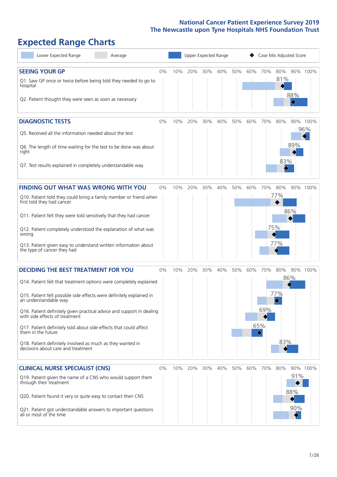# **Expected Range Charts**

| Lower Expected Range<br>Average                                                                                                                                 |       |     | Upper Expected Range |     |     |     | Case Mix Adjusted Score |          |            |                                     |                 |  |
|-----------------------------------------------------------------------------------------------------------------------------------------------------------------|-------|-----|----------------------|-----|-----|-----|-------------------------|----------|------------|-------------------------------------|-----------------|--|
| <b>SEEING YOUR GP</b><br>Q1. Saw GP once or twice before being told they needed to go to<br>hospital<br>Q2. Patient thought they were seen as soon as necessary | 0%    | 10% | 20%                  | 30% | 40% | 50% | 60%                     | 70%      | 80%<br>81% | 88%<br>$\color{black}\blacklozenge$ | 90% 100%        |  |
| <b>DIAGNOSTIC TESTS</b>                                                                                                                                         | 0%    | 10% | 20%                  | 30% | 40% | 50% | 60%                     | 70%      | 80%        |                                     | 90% 100%<br>96% |  |
| Q5. Received all the information needed about the test                                                                                                          |       |     |                      |     |     |     |                         |          |            | 89%                                 |                 |  |
| Q6. The length of time waiting for the test to be done was about<br>right                                                                                       |       |     |                      |     |     |     |                         |          |            |                                     |                 |  |
| Q7. Test results explained in completely understandable way                                                                                                     |       |     |                      |     |     |     |                         |          | 83%        |                                     |                 |  |
| <b>FINDING OUT WHAT WAS WRONG WITH YOU</b>                                                                                                                      | $0\%$ | 10% | 20%                  | 30% | 40% | 50% | 60%                     | 70%      | 80%        |                                     | 90% 100%        |  |
| Q10. Patient told they could bring a family member or friend when<br>first told they had cancer                                                                 |       |     |                      |     |     |     |                         |          | 77%        |                                     |                 |  |
| Q11. Patient felt they were told sensitively that they had cancer                                                                                               |       |     |                      |     |     |     |                         |          |            | 86%                                 |                 |  |
| Q12. Patient completely understood the explanation of what was<br>wrong                                                                                         |       |     |                      |     |     |     |                         |          | 75%        |                                     |                 |  |
| Q13. Patient given easy to understand written information about<br>the type of cancer they had                                                                  |       |     |                      |     |     |     |                         |          | 77%        |                                     |                 |  |
| <b>DECIDING THE BEST TREATMENT FOR YOU</b>                                                                                                                      | 0%    | 10% | 20%                  | 30% | 40% | 50% | 60%                     | 70%      | 80%        |                                     | 90% 100%        |  |
| Q14. Patient felt that treatment options were completely explained                                                                                              |       |     |                      |     |     |     |                         |          |            | 86%                                 |                 |  |
| Q15. Patient felt possible side effects were definitely explained in<br>an understandable wav                                                                   |       |     |                      |     |     |     |                         |          | 77%        |                                     |                 |  |
| Q16. Patient definitely given practical advice and support in dealing<br>with side effects of treatment                                                         |       |     |                      |     |     |     |                         | 69%      |            |                                     |                 |  |
| Q17. Patient definitely told about side effects that could affect<br>them in the future                                                                         |       |     |                      |     |     |     |                         | 65%<br>♦ |            |                                     |                 |  |
| Q18. Patient definitely involved as much as they wanted in<br>decisions about care and treatment                                                                |       |     |                      |     |     |     |                         |          | 83%        |                                     |                 |  |
| <b>CLINICAL NURSE SPECIALIST (CNS)</b>                                                                                                                          | $0\%$ | 10% | 20%                  | 30% | 40% | 50% | 60%                     | 70%      | 80%        |                                     | 90% 100%        |  |
| Q19. Patient given the name of a CNS who would support them<br>through their treatment                                                                          |       |     |                      |     |     |     |                         |          |            | 91%                                 |                 |  |
| Q20. Patient found it very or quite easy to contact their CNS                                                                                                   |       |     |                      |     |     |     |                         |          |            | 88%                                 |                 |  |
| Q21. Patient got understandable answers to important questions<br>all or most of the time                                                                       |       |     |                      |     |     |     |                         |          |            | 90%                                 |                 |  |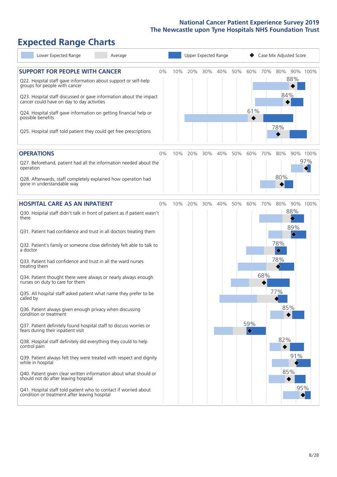# **Expected Range Charts**

| Lower Expected Range<br>Average                                                                                                                                                                                                                                                                                                                                                                                                                                                                                                                                                                                                                                                                                                                                                                                                                                                                                                                                                                                                                                                                                                                                                   |    |     | Upper Expected Range |     |     |     |                                           |            | Case Mix Adjusted Score                                                      |                               |                 |
|-----------------------------------------------------------------------------------------------------------------------------------------------------------------------------------------------------------------------------------------------------------------------------------------------------------------------------------------------------------------------------------------------------------------------------------------------------------------------------------------------------------------------------------------------------------------------------------------------------------------------------------------------------------------------------------------------------------------------------------------------------------------------------------------------------------------------------------------------------------------------------------------------------------------------------------------------------------------------------------------------------------------------------------------------------------------------------------------------------------------------------------------------------------------------------------|----|-----|----------------------|-----|-----|-----|-------------------------------------------|------------|------------------------------------------------------------------------------|-------------------------------|-----------------|
| <b>SUPPORT FOR PEOPLE WITH CANCER</b><br>Q22. Hospital staff gave information about support or self-help<br>groups for people with cancer<br>Q23. Hospital staff discussed or gave information about the impact<br>cancer could have on day to day activities<br>Q24. Hospital staff gave information on getting financial help or<br>possible benefits<br>Q25. Hospital staff told patient they could get free prescriptions                                                                                                                                                                                                                                                                                                                                                                                                                                                                                                                                                                                                                                                                                                                                                     | 0% | 10% | 20%                  | 30% | 40% | 50% | 60%<br>61%                                | 70%        | 80%<br>84%<br>78%                                                            | 88%                           | 90% 100%        |
| <b>OPERATIONS</b><br>Q27. Beforehand, patient had all the information needed about the<br>operation<br>Q28. Afterwards, staff completely explained how operation had<br>gone in understandable way                                                                                                                                                                                                                                                                                                                                                                                                                                                                                                                                                                                                                                                                                                                                                                                                                                                                                                                                                                                | 0% | 10% | 20%                  | 30% | 40% | 50% | 60%                                       | 70%        | 80%<br>80%                                                                   |                               | 90% 100%<br>97% |
| <b>HOSPITAL CARE AS AN INPATIENT</b><br>Q30. Hospital staff didn't talk in front of patient as if patient wasn't<br>there<br>Q31. Patient had confidence and trust in all doctors treating them<br>Q32. Patient's family or someone close definitely felt able to talk to<br>a doctor<br>Q33. Patient had confidence and trust in all the ward nurses<br>treating them<br>Q34. Patient thought there were always or nearly always enough<br>nurses on duty to care for them<br>Q35. All hospital staff asked patient what name they prefer to be<br>called by<br>Q36. Patient always given enough privacy when discussing<br>condition or treatment<br>Q37. Patient definitely found hospital staff to discuss worries or<br>fears during their inpatient visit<br>Q38. Hospital staff definitely did everything they could to help<br>control pain<br>Q39. Patient always felt they were treated with respect and dignity<br>while in hospital<br>Q40. Patient given clear written information about what should or<br>should not do after leaving hospital<br>Q41. Hospital staff told patient who to contact if worried about<br>condition or treatment after leaving hospital | 0% | 10% | 20%                  | 30% | 40% | 50% | 60%<br>59%<br>$\color{blue}\blacklozenge$ | 70%<br>68% | 80%<br>78%<br>$\color{blue}\blacklozenge$<br>78%<br>77%<br>85%<br>82%<br>85% | 88%<br>89%<br>◇<br>91%<br>95% | 90% 100%        |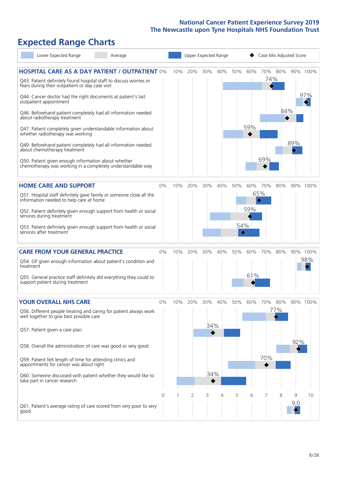# **Expected Range Charts**

| Lower Expected Range<br>Average                                                                                                                                                |       |     |                | Upper Expected Range |     |                                    | Case Mix Adjusted Score |                                     |                |          |          |  |
|--------------------------------------------------------------------------------------------------------------------------------------------------------------------------------|-------|-----|----------------|----------------------|-----|------------------------------------|-------------------------|-------------------------------------|----------------|----------|----------|--|
| <b>HOSPITAL CARE AS A DAY PATIENT / OUTPATIENT 0%</b><br>Q43. Patient definitely found hospital staff to discuss worries or<br>fears during their outpatient or day case visit |       | 10% | 20%            | 30%                  | 40% | 50%                                | 60%                     |                                     | 70% 80%<br>74% |          | 90% 100% |  |
| Q44. Cancer doctor had the right documents at patient's last<br>outpatient appointment                                                                                         |       |     |                |                      |     |                                    |                         |                                     | 84%            |          | 97%      |  |
| Q46. Beforehand patient completely had all information needed<br>about radiotherapy treatment<br>Q47. Patient completely given understandable information about                |       |     |                |                      |     |                                    | 59%                     |                                     |                |          |          |  |
| whether radiotherapy was working                                                                                                                                               |       |     |                |                      |     |                                    |                         |                                     |                |          |          |  |
| Q49. Beforehand patient completely had all information needed<br>about chemotherapy treatment                                                                                  |       |     |                |                      |     |                                    |                         |                                     |                | 89%      |          |  |
| Q50. Patient given enough information about whether<br>chemotherapy was working in a completely understandable way                                                             |       |     |                |                      |     |                                    |                         | 69%                                 |                |          |          |  |
| <b>HOME CARE AND SUPPORT</b>                                                                                                                                                   | 0%    | 10% | 20%            | 30%                  | 40% | 50%                                | 60%                     | 70%                                 | 80%            |          | 90% 100% |  |
| Q51. Hospital staff definitely gave family or someone close all the<br>information needed to help care at home                                                                 |       |     |                |                      |     |                                    |                         | 65%<br>$\color{black} \diamondsuit$ |                |          |          |  |
| Q52. Patient definitely given enough support from health or social<br>services during treatment                                                                                |       |     |                |                      |     |                                    | 59%                     |                                     |                |          |          |  |
| Q53. Patient definitely given enough support from health or social<br>services after treatment                                                                                 |       |     |                |                      |     | 54%<br>$\color{blue}\blacklozenge$ |                         |                                     |                |          |          |  |
| <b>CARE FROM YOUR GENERAL PRACTICE</b>                                                                                                                                         | 0%    | 10% | 20%            | 30%                  | 40% | 50%                                | 60%                     | 70%                                 | 80%            |          | 90% 100% |  |
| Q54. GP given enough information about patient's condition and<br>treatment                                                                                                    |       |     |                |                      |     |                                    |                         |                                     |                |          | 98%      |  |
| Q55. General practice staff definitely did everything they could to<br>support patient during treatment                                                                        |       |     |                |                      |     |                                    | 61%                     |                                     |                |          |          |  |
| <b>YOUR OVERALL NHS CARE</b>                                                                                                                                                   | $0\%$ | 10% | 20%            | 30%                  | 40% | 50%                                | 60%                     | 70%                                 | 80%            |          | 90% 100% |  |
| Q56. Different people treating and caring for patient always work<br>well together to give best possible care                                                                  |       |     |                |                      |     |                                    |                         |                                     | 77%            |          |          |  |
| Q57. Patient given a care plan                                                                                                                                                 |       |     |                | 34%                  |     |                                    |                         |                                     |                |          |          |  |
| Q58. Overall the administration of care was good or very good                                                                                                                  |       |     |                |                      |     |                                    |                         |                                     |                | 92%      |          |  |
| Q59. Patient felt length of time for attending clinics and<br>appointments for cancer was about right                                                                          |       |     |                |                      |     |                                    |                         | 70%                                 |                |          |          |  |
| Q60. Someone discussed with patient whether they would like to<br>take part in cancer research                                                                                 |       |     |                | 34%                  |     |                                    |                         |                                     |                |          |          |  |
|                                                                                                                                                                                | 0     |     | $\overline{2}$ | 3                    | 4   | 5                                  | 6                       | 7                                   | 8              | 9<br>9.0 | 10       |  |
| Q61. Patient's average rating of care scored from very poor to very<br>good                                                                                                    |       |     |                |                      |     |                                    |                         |                                     |                |          |          |  |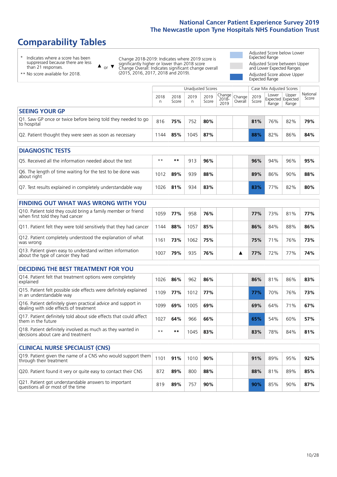# **Comparability Tables**

\* Indicates where a score has been suppressed because there are less than 21 responses.

\*\* No score available for 2018.

 $\triangle$  or  $\nabla$ 

Change 2018-2019: Indicates where 2019 score is significantly higher or lower than 2018 score Change Overall: Indicates significant change overall (2015, 2016, 2017, 2018 and 2019).

Adjusted Score below Lower Expected Range Adjusted Score between Upper and Lower Expected Ranges Adjusted Score above Upper Expected Range

|                                                                             | Case Mix Adjusted Scores<br>Unadjusted Scores |               |            |               |                                                       |         |               |                                     |                |                   |
|-----------------------------------------------------------------------------|-----------------------------------------------|---------------|------------|---------------|-------------------------------------------------------|---------|---------------|-------------------------------------|----------------|-------------------|
|                                                                             | 2018<br>n                                     | 2018<br>Score | 2019<br>n. | 2019<br>Score | $\sim$   Change   Change   $\sim$<br>$2018 -$<br>2019 | Overall | 2019<br>Score | Lower<br>Expected Expected<br>Range | Upper<br>Range | National<br>Score |
| <b>SEEING YOUR GP</b>                                                       |                                               |               |            |               |                                                       |         |               |                                     |                |                   |
| Q1. Saw GP once or twice before being told they needed to go<br>to hospital | 816                                           | 75%           | 752        | 80%           |                                                       |         | 81%           | 76%                                 | 82%            | 79%               |
| Q2. Patient thought they were seen as soon as necessary                     | 1144                                          | 85%           | 1045       | 87%           |                                                       |         | 88%           | 82%                                 | 86%            | 84%               |

| <b>DIAGNOSTIC TESTS</b>                                                   |       |     |     |     |  |     |     |     |     |
|---------------------------------------------------------------------------|-------|-----|-----|-----|--|-----|-----|-----|-----|
| Q5. Received all the information needed about the test                    | $* *$ | **  | 913 | 96% |  | 96% | 94% | 96% | 95% |
| Q6. The length of time waiting for the test to be done was<br>about right | 1012  | 89% | 939 | 88% |  | 89% | 86% | 90% | 88% |
| Q7. Test results explained in completely understandable way               | 1026  | 81% | 934 | 83% |  | 83% | 77% | 82% | 80% |

| <b>FINDING OUT WHAT WAS WRONG WITH YOU</b>                                                      |      |     |      |     |  |            |     |     |     |
|-------------------------------------------------------------------------------------------------|------|-----|------|-----|--|------------|-----|-----|-----|
| Q10. Patient told they could bring a family member or friend<br>when first told they had cancer | 1059 | 77% | 958  | 76% |  | <b>77%</b> | 73% | 81% | 77% |
| Q11. Patient felt they were told sensitively that they had cancer                               | 1144 | 88% | 1057 | 85% |  | 86%        | 84% | 88% | 86% |
| Q12. Patient completely understood the explanation of what<br>was wrong                         | 1161 | 73% | 1062 | 75% |  | 75%        | 71% | 76% | 73% |
| Q13. Patient given easy to understand written information<br>about the type of cancer they had  | 1007 | 79% | 935  | 76% |  | 77%        | 72% | 77% | 74% |

| <b>DECIDING THE BEST TREATMENT FOR YOU</b>                                                              |      |     |      |     |     |     |     |     |
|---------------------------------------------------------------------------------------------------------|------|-----|------|-----|-----|-----|-----|-----|
| Q14. Patient felt that treatment options were completely<br>explained                                   | 1026 | 86% | 962  | 86% | 86% | 81% | 86% | 83% |
| Q15. Patient felt possible side effects were definitely explained<br>in an understandable way           | 1109 | 77% | 1012 | 77% | 77% | 70% | 76% | 73% |
| Q16. Patient definitely given practical advice and support in<br>dealing with side effects of treatment | 1099 | 69% | 1005 | 69% | 69% | 64% | 71% | 67% |
| Q17. Patient definitely told about side effects that could affect<br>them in the future                 | 1027 | 64% | 966  | 66% | 65% | 54% | 60% | 57% |
| Q18. Patient definitely involved as much as they wanted in<br>decisions about care and treatment        | $**$ | **  | 1045 | 83% | 83% | 78% | 84% | 81% |

| <b>CLINICAL NURSE SPECIALIST (CNS)</b>                                                                          |     |     |      |     |  |     |     |     |     |
|-----------------------------------------------------------------------------------------------------------------|-----|-----|------|-----|--|-----|-----|-----|-----|
| Q19. Patient given the name of a CNS who would support them $\vert$ 1101 $\vert$ 91%<br>through their treatment |     |     | 1010 | 90% |  | 91% | 89% | 95% | 92% |
| Q20. Patient found it very or quite easy to contact their CNS                                                   | 872 | 89% | 800  | 88% |  | 88% | 81% | 89% | 85% |
| Q21. Patient got understandable answers to important<br>questions all or most of the time                       | 819 | 89% | 757  | 90% |  | 90% | 85% | 90% | 87% |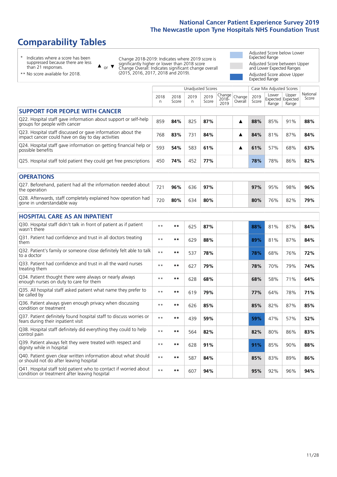# **Comparability Tables**

\* Indicates where a score has been suppressed because there are less than 21 responses.

\*\* No score available for 2018.

 $\triangle$  or  $\nabla$ 

Change 2018-2019: Indicates where 2019 score is significantly higher or lower than 2018 score Change Overall: Indicates significant change overall (2015, 2016, 2017, 2018 and 2019).

Adjusted Score below Lower Expected Range Adjusted Score between Upper and Lower Expected Ranges Adjusted Score above Upper Expected Range

|                                                                                                                   |              |               |            | <b>Unadjusted Scores</b> |                            |                   |               | Case Mix Adjusted Scores            |                |                   |
|-------------------------------------------------------------------------------------------------------------------|--------------|---------------|------------|--------------------------|----------------------------|-------------------|---------------|-------------------------------------|----------------|-------------------|
|                                                                                                                   | 2018<br>n    | 2018<br>Score | 2019<br>n. | 2019<br>Score            | Change<br>$2018 -$<br>2019 | Change<br>Overall | 2019<br>Score | Lower<br>Expected Expected<br>Range | Upper<br>Range | National<br>Score |
| <b>SUPPORT FOR PEOPLE WITH CANCER</b>                                                                             |              |               |            |                          |                            |                   |               |                                     |                |                   |
| Q22. Hospital staff gave information about support or self-help<br>groups for people with cancer                  | 859          | 84%           | 825        | 87%                      |                            | ▲                 | 88%           | 85%                                 | 91%            | 88%               |
| Q23. Hospital staff discussed or gave information about the<br>impact cancer could have on day to day activities  | 768          | 83%           | 731        | 84%                      |                            | ▲                 | 84%           | 81%                                 | 87%            | 84%               |
| Q24. Hospital staff gave information on getting financial help or<br>possible benefits                            | 593          | 54%           | 583        | 61%                      |                            | ▲                 | 61%           | 57%                                 | 68%            | 63%               |
| Q25. Hospital staff told patient they could get free prescriptions                                                | 450          | 74%           | 452        | 77%                      |                            |                   | 78%           | 78%                                 | 86%            | 82%               |
| <b>OPERATIONS</b>                                                                                                 |              |               |            |                          |                            |                   |               |                                     |                |                   |
| Q27. Beforehand, patient had all the information needed about<br>the operation                                    | 721          | 96%           | 636        | 97%                      |                            |                   | 97%           | 95%                                 | 98%            | 96%               |
| Q28. Afterwards, staff completely explained how operation had<br>gone in understandable way                       | 720          | 80%           | 634        | 80%                      |                            |                   | 80%           | 76%                                 | 82%            | 79%               |
| <b>HOSPITAL CARE AS AN INPATIENT</b>                                                                              |              |               |            |                          |                            |                   |               |                                     |                |                   |
| Q30. Hospital staff didn't talk in front of patient as if patient<br>wasn't there                                 | $* *$        | **            | 625        | 87%                      |                            |                   | 88%           | 81%                                 | 87%            | 84%               |
| Q31. Patient had confidence and trust in all doctors treating<br>them                                             | $* *$        | $***$         | 629        | 88%                      |                            |                   | 89%           | 81%                                 | 87%            | 84%               |
| Q32. Patient's family or someone close definitely felt able to talk<br>to a doctor                                | $* *$        | **            | 537        | 78%                      |                            |                   | 78%           | 68%                                 | 76%            | 72%               |
| O33. Patient had confidence and trust in all the ward nurses<br>treating them                                     | $**$         | **            | 627        | 79%                      |                            |                   | 78%           | 70%                                 | 79%            | 74%               |
| Q34. Patient thought there were always or nearly always<br>enough nurses on duty to care for them                 | $**$         | **            | 628        | 68%                      |                            |                   | 68%           | 58%                                 | 71%            | 64%               |
| Q35. All hospital staff asked patient what name they prefer to<br>be called by                                    | $* *$        | **            | 619        | 79%                      |                            |                   | 77%           | 64%                                 | 78%            | 71%               |
| Q36. Patient always given enough privacy when discussing<br>condition or treatment                                | $\star\star$ | **            | 626        | 85%                      |                            |                   | 85%           | 82%                                 | 87%            | 85%               |
| Q37. Patient definitely found hospital staff to discuss worries or<br>fears during their inpatient visit          | $**$         | **            | 439        | 59%                      |                            |                   | 59%           | 47%                                 | 57%            | 52%               |
| Q38. Hospital staff definitely did everything they could to help<br>control pain                                  | $**$         | $***$         | 564        | 82%                      |                            |                   | 82%           | 80%                                 | 86%            | 83%               |
| Q39. Patient always felt they were treated with respect and<br>dignity while in hospital                          | $**$         | **            | 628        | 91%                      |                            |                   | 91%           | 85%                                 | 90%            | 88%               |
| Q40. Patient given clear written information about what should<br>or should not do after leaving hospital         | $**$         | **            | 587        | 84%                      |                            |                   | 85%           | 83%                                 | 89%            | 86%               |
| Q41. Hospital staff told patient who to contact if worried about<br>condition or treatment after leaving hospital | $**$         | **            | 607        | 94%                      |                            |                   | 95%           | 92%                                 | 96%            | 94%               |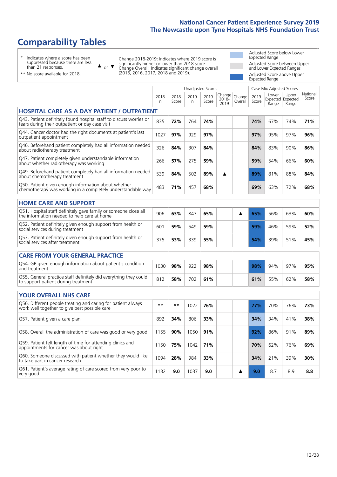# **Comparability Tables**

\* Indicates where a score has been suppressed because there are less than 21 responses.

\*\* No score available for 2018.

 $\triangle$  or  $\nabla$ 

Change 2018-2019: Indicates where 2019 score is significantly higher or lower than 2018 score Change Overall: Indicates significant change overall (2015, 2016, 2017, 2018 and 2019).

Adjusted Score below Lower Expected Range Adjusted Score between Upper and Lower Expected Ranges Adjusted Score above Upper Expected Range

|                                                                                                                       |            |               | Unadjusted Scores |               |                            |                   |               | Case Mix Adjusted Scores            |                |                   |
|-----------------------------------------------------------------------------------------------------------------------|------------|---------------|-------------------|---------------|----------------------------|-------------------|---------------|-------------------------------------|----------------|-------------------|
|                                                                                                                       | 2018<br>n. | 2018<br>Score | 2019<br>n         | 2019<br>Score | Change<br>$2018 -$<br>2019 | Change<br>Overall | 2019<br>Score | Lower<br>Expected Expected<br>Range | Upper<br>Range | National<br>Score |
| HOSPITAL CARE AS A DAY PATIENT / OUTPATIENT                                                                           |            |               |                   |               |                            |                   |               |                                     |                |                   |
| Q43. Patient definitely found hospital staff to discuss worries or<br>fears during their outpatient or day case visit | 835        | 72%           | 764               | 74%           |                            |                   | 74%           | 67%                                 | 74%            | 71%               |
| Q44. Cancer doctor had the right documents at patient's last<br>outpatient appointment                                | 1027       | 97%           | 929               | 97%           |                            |                   | 97%           | 95%                                 | 97%            | 96%               |
| Q46. Beforehand patient completely had all information needed<br>about radiotherapy treatment                         | 326        | 84%           | 307               | 84%           |                            |                   | 84%           | 83%                                 | 90%            | 86%               |
| Q47. Patient completely given understandable information<br>about whether radiotherapy was working                    | 266        | 57%           | 275               | 59%           |                            |                   | 59%           | 54%                                 | 66%            | 60%               |
| Q49. Beforehand patient completely had all information needed<br>about chemotherapy treatment                         | 539        | 84%           | 502               | 89%           | ▲                          |                   | 89%           | 81%                                 | 88%            | 84%               |
| Q50. Patient given enough information about whether<br>chemotherapy was working in a completely understandable way    | 483        | 71%           | 457               | 68%           |                            |                   | 69%           | 63%                                 | 72%            | 68%               |
| <b>HOME CARE AND SUPPORT</b>                                                                                          |            |               |                   |               |                            |                   |               |                                     |                |                   |
| Q51. Hospital staff definitely gave family or someone close all<br>the information needed to help care at home        | 906        | 63%           | 847               | 65%           |                            | ▲                 | 65%           | 56%                                 | 63%            | 60%               |
| Q52. Patient definitely given enough support from health or<br>social services during treatment                       | 601        | 59%           | 549               | 59%           |                            |                   | 59%           | 46%                                 | 59%            | 52%               |
| Q53. Patient definitely given enough support from health or<br>social services after treatment                        | 375        | 53%           | 339               | 55%           |                            |                   | 54%           | 39%                                 | 51%            | 45%               |
| <b>CARE FROM YOUR GENERAL PRACTICE</b>                                                                                |            |               |                   |               |                            |                   |               |                                     |                |                   |
| Q54. GP given enough information about patient's condition<br>and treatment                                           | 1030       | 98%           | 922               | 98%           |                            |                   | 98%           | 94%                                 | 97%            | 95%               |
| Q55. General practice staff definitely did everything they could<br>to support patient during treatment               | 812        | 58%           | 702               | 61%           |                            |                   | 61%           | 55%                                 | 62%            | 58%               |
| <b>YOUR OVERALL NHS CARE</b>                                                                                          |            |               |                   |               |                            |                   |               |                                     |                |                   |
| Q56. Different people treating and caring for patient always<br>work well together to give best possible care         | $* *$      | $***$         | 1022              | 76%           |                            |                   | 77%           | 70%                                 | 76%            | 73%               |
| Q57. Patient given a care plan                                                                                        | 892        | 34%           | 806               | 33%           |                            |                   | 34%           | 34%                                 | 41%            | 38%               |
| Q58. Overall the administration of care was good or very good                                                         | 1155       | 90%           | 1050              | 91%           |                            |                   | 92%           | 86%                                 | 91%            | 89%               |
| Q59. Patient felt length of time for attending clinics and<br>appointments for cancer was about right                 | 1150       | 75%           | 1042              | 71%           |                            |                   | 70%           | 62%                                 | 76%            | 69%               |
| Q60. Someone discussed with patient whether they would like<br>to take part in cancer research                        | 1094       | 28%           | 984               | 33%           |                            |                   | 34%           | 21%                                 | 39%            | 30%               |
| Q61. Patient's average rating of care scored from very poor to<br>very good                                           | 1132       | 9.0           | 1037              | 9.0           |                            | A                 | 9.0           | 8.7                                 | 8.9            | 8.8               |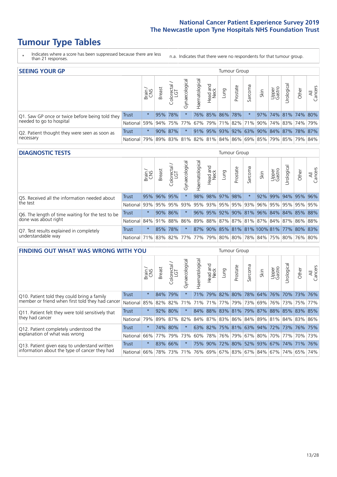# **Tumour Type Tables**

- \* Indicates where a score has been suppressed because there are less than 21 responses.
- n.a. Indicates that there were no respondents for that tumour group.

| <b>SEEING YOUR GP</b>                           |            |         |               |                         |                    |                |                  |      | Tumour Group    |         |      |                 |                                                           |       |                |
|-------------------------------------------------|------------|---------|---------------|-------------------------|--------------------|----------------|------------------|------|-----------------|---------|------|-----------------|-----------------------------------------------------------|-------|----------------|
|                                                 |            | Brain   | <b>Breast</b> | colorectal.<br>LGT<br>Ü | ᠊ᢛ<br>Gynaecologic | Haematological | Head and<br>Neck | Dung | Prostate        | Sarcoma | Skin | Upper<br>Gastro | Urological                                                | Other | All<br>Cancers |
| Q1. Saw GP once or twice before being told they | Trust      | $\star$ |               | 95% 78%                 |                    |                |                  |      | 76% 85% 86% 78% |         |      |                 | 97% 74% 81% 74% 80%                                       |       |                |
| needed to go to hospital                        | National   | 59%     |               | 94% 75% 77%             |                    |                |                  |      |                 |         |      |                 | 67%   79%   71%   82%   71%   90%   74%   83%   74%   79% |       |                |
| Q2. Patient thought they were seen as soon as   | Trust      | $\star$ |               | 90% 87%                 |                    |                |                  |      |                 |         |      |                 | 91% 95% 93% 92% 63% 90% 84% 87% 78% 87%                   |       |                |
| necessary                                       | National I |         |               |                         |                    |                |                  |      |                 |         |      |                 | 79% 89% 83% 81% 82% 81% 84% 86% 69% 85% 79% 85% 79% 84%   |       |                |

#### **DIAGNOSTIC TESTS** Tumour Group

|                                                   |                                                                  | Brain<br>CNS | <b>Breast</b> | Colorectal<br>LGT | Gynaecological | Haematological      | Head and<br>Neck | Lung | Prostate | Sarcoma | Skin | Upper<br>Gastro | rologica | Other                                    | All<br>Cancers |
|---------------------------------------------------|------------------------------------------------------------------|--------------|---------------|-------------------|----------------|---------------------|------------------|------|----------|---------|------|-----------------|----------|------------------------------------------|----------------|
| Q5. Received all the information needed about     | <b>Trust</b>                                                     | 95%          | 96% 95%       |                   |                |                     | 98% 98% 97% 98%  |      |          |         |      | 92% 99%         |          | 94% 95% 96%                              |                |
| the test                                          | National                                                         | 93%          | 95%           | 95%               | 93%            | 95% 93% 95% 95% 93% |                  |      |          |         | 96%  | 95%             |          | 95% 95% 95%                              |                |
| Q6. The length of time waiting for the test to be | Trust                                                            | $\star$      |               | $90\%$ 86%        |                |                     |                  |      |          |         |      |                 |          | 96% 95% 92% 90% 81% 96% 84% 84% 85% 88%  |                |
| done was about right                              | National 84% 91% 88% 86% 89% 88% 87% 87% 81% 87% 84% 87% 86% 88% |              |               |                   |                |                     |                  |      |          |         |      |                 |          |                                          |                |
| Q7. Test results explained in completely          | Trust                                                            | $\star$      |               | 85% 78%           |                |                     |                  |      |          |         |      |                 |          | 87% 90% 85% 81% 81% 100% 81% 77% 80% 83% |                |
| understandable way                                | National 71% 83% 82% 77% 77% 79% 80% 80% 78% 84% 75% 80% 76% 80% |              |               |                   |                |                     |                  |      |          |         |      |                 |          |                                          |                |

| <b>FINDING OUT WHAT WAS WRONG WITH YOU</b>        |              |         |               |                             |                |                   |                  |                                 | <b>Tumour Group</b> |                 |      |                 |            |                                         |                |
|---------------------------------------------------|--------------|---------|---------------|-----------------------------|----------------|-------------------|------------------|---------------------------------|---------------------|-----------------|------|-----------------|------------|-----------------------------------------|----------------|
|                                                   |              | Brain   | <b>Breast</b> | olorectal.<br>LGT<br>$\cup$ | Gynaecological | aematologica<br>Ĩ | Head and<br>Neck | Lung                            | Prostate            | Sarcoma         | Skin | Upper<br>Gastro | Urological | Other                                   | All<br>Cancers |
| Q10. Patient told they could bring a family       | <b>Trust</b> | $\star$ | 84%           | 79%                         |                | 71%               | 79%              |                                 | 82% 80%             | 78%             | 64%  | 76%             | 70%        | 73%                                     | 76%            |
| member or friend when first told they had cancer  | National     | 85%     | 82%           | 82%                         | 71%            | 71%               | 71%              |                                 |                     | 77%   79%   73% | 69%  | 76%             |            | 73% 75%                                 | 77%            |
| Q11. Patient felt they were told sensitively that | Trust        | $\star$ | 92% 80%       |                             |                |                   |                  |                                 |                     |                 |      |                 |            | 84% 88% 83% 81% 79% 87% 88% 85% 83% 85% |                |
| they had cancer                                   | National     | 79%     |               | 89% 87% 82%                 |                |                   |                  |                                 |                     |                 |      |                 |            | 84% 87% 83% 86% 84% 89% 81% 84% 83% 84% | 86%            |
| Q12. Patient completely understood the            | Trust        | $\star$ | 74%           | 80%                         |                |                   |                  | 63% 82% 75% 81% 63% 94%         |                     |                 |      | 72%             | 73% 76%    |                                         | 75%            |
| explanation of what was wrong                     | National     | 66%     | 77%           | 79%                         | 73%            |                   |                  | 60% 78% 76% 79% 67% 80% 70% 77% |                     |                 |      |                 |            |                                         | 70% 73%        |
| Q13. Patient given easy to understand written     | Trust        | $\star$ |               | 83% 66%                     |                | 75%               | 90%              | 72% 80% 52% 93% 67%             |                     |                 |      |                 | 74% 71%    |                                         | 76%            |
| information about the type of cancer they had     | National     | $66\%$  | 78%           | 73%                         | 71%            |                   |                  | 76% 69% 67% 83% 67% 84% 67% 74% |                     |                 |      |                 |            | 65%                                     | 74%            |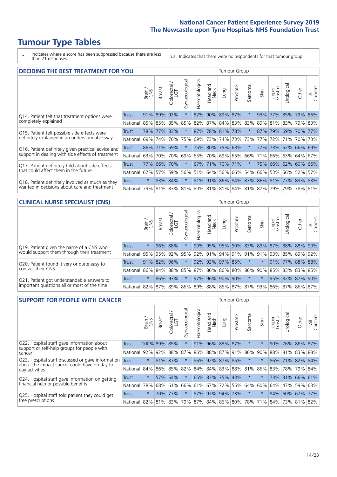# **Tumour Type Tables**

\* Indicates where a score has been suppressed because there are less than 21 responses.

n.a. Indicates that there were no respondents for that tumour group.

| <b>DECIDING THE BEST TREATMENT FOR YOU</b>         |            |         |               |                            |                |                |                        |                     | <b>Tumour Group</b> |                                         |         |                 |                     |             |                |
|----------------------------------------------------|------------|---------|---------------|----------------------------|----------------|----------------|------------------------|---------------------|---------------------|-----------------------------------------|---------|-----------------|---------------------|-------------|----------------|
|                                                    |            | Brain   | <b>Breast</b> | olorectal<br>LGT<br>$\cup$ | Gynaecological | Haematological | ad and<br>Neck<br>Head | Lung                | Prostate            | arcoma<br>vĀ                            | Skin    | Upper<br>Gastro | Jrological          | Other       | All<br>Cancers |
| Q14. Patient felt that treatment options were      | Trust      | 91%     | 89%           | 92%                        | $\star$        |                |                        | 82% 90% 89% 87%     |                     | $\star$                                 | 93%     | 77%             | 85%                 | $ 79\% $    | 86%            |
| completely explained                               | National I | 85%     | 85%           | 85%                        | 85%            |                |                        | 82% 87% 84% 83% 83% |                     |                                         | 89%     |                 | 81% 83%             | 79% 83%     |                |
| Q15. Patient felt possible side effects were       | Trust      | 78%     | 77%           | 83%                        | $\star$        |                |                        | 87% 78% 81% 78%     |                     |                                         | 87%     | 179%            |                     | 69% 70%     | 177%           |
| definitely explained in an understandable way      | National   | 69%     | 74%           | 76%                        | 75%            | 69%            | 73%                    |                     | 74% 73%             | 73%                                     | 77%     | 72%             | 71%                 | 70% 73%     |                |
| Q16. Patient definitely given practical advice and | Trust      |         | 86% 71% 69%   |                            | $\star$        |                |                        | 75% 80% 75% 63%     |                     | 大                                       | 77%     |                 | 73% 62% 66% 69%     |             |                |
| support in dealing with side effects of treatment  | National   | 63%     | 70%           | 70%                        | 69%            |                |                        | 65% 70% 69% 65%     |                     | 66%                                     | 71%     |                 | 66% 63% 64% 67%     |             |                |
| Q17. Patient definitely told about side effects    | Trust      |         | 77% 66% 70%   |                            | $\star$        |                |                        | 67% 71% 70% 71%     |                     | $\ast$                                  |         |                 | 75% 66% 62% 60% 66% |             |                |
| that could affect them in the future               | National   | 62%     | 57%           | 59%                        | 56%            |                |                        | 51% 64% 56% 66%     |                     |                                         | 54% 66% |                 | 53% 56% 52%         |             | 57%            |
| Q18. Patient definitely involved as much as they   | Trust      | $\star$ |               | 83% 84%                    | $\star$        |                |                        |                     |                     | 81% 91% 86% 84% 83% 86% 81% 77% 83% 83% |         |                 |                     |             |                |
| wanted in decisions about care and treatment       | National   | 79%     |               |                            |                |                |                        |                     |                     | 81% 83% 81% 80% 81% 81% 84% 81% 87% 79% |         |                 |                     | 79% 78% 81% |                |

#### **CLINICAL NURSE SPECIALIST (CNS)** Tumour Group

|                                             |          | Brain   | <b>Breast</b>   | olorectal<br>LGT<br>$\cup$ | aecologica<br>Ğ | $\overline{\sigma}$<br>Ü<br>aematologi | Head and<br>Neck | Lung            | Prostate | Sarcoma | Skin    | Upper<br>Gastro             | $\sigma$<br>rologica | Other                                               | All<br>ancers<br>$\cup$ |
|---------------------------------------------|----------|---------|-----------------|----------------------------|-----------------|----------------------------------------|------------------|-----------------|----------|---------|---------|-----------------------------|----------------------|-----------------------------------------------------|-------------------------|
| Q19. Patient given the name of a CNS who    | Trust    | $\star$ |                 | 96% 88%                    |                 |                                        |                  |                 |          |         |         | 90% 95% 95% 90% 83% 89% 87% |                      | 88% 88%                                             | $190\%$                 |
| would support them through their treatment  | National |         | 95% 95% 92% 95% |                            |                 |                                        |                  |                 |          |         |         |                             |                      | 92% 91% 94% 91% 91% 91% 93% 85% 89%                 | 92%                     |
| Q20. Patient found it very or quite easy to | Trust    |         | 91% 82% 96%     |                            |                 |                                        |                  | 92% 93% 97% 85% |          | $\star$ | $\star$ |                             |                      | 91% 77% 88% 88%                                     |                         |
| contact their CNS                           | National |         | 86% 84% 88% 85% |                            |                 |                                        |                  |                 |          |         |         | 87% 86% 86% 80% 86% 90% 85% |                      | 83% 83%                                             | 85%                     |
| Q21. Patient got understandable answers to  | Trust    | $\star$ |                 | 86% 93%                    |                 |                                        |                  | 97% 96% 90% 90% |          | $\ast$  |         |                             |                      | 95% 82% 87%                                         | 90%                     |
| important questions all or most of the time | National |         | 82% 87% 89% 86% |                            |                 |                                        |                  |                 |          |         |         |                             |                      | 89%   88%   86%   87%   87%   93%   86%   87%   86% | 87%                     |

| <b>SUPPORT FOR PEOPLE WITH CANCER</b>                                                             |              |         |               |            |                |                |                         |                 | Tumour Group |                  |         |                 |           |                 |                |
|---------------------------------------------------------------------------------------------------|--------------|---------|---------------|------------|----------------|----------------|-------------------------|-----------------|--------------|------------------|---------|-----------------|-----------|-----------------|----------------|
|                                                                                                   |              | Brain   | <b>Breast</b> | Colorectal | Gynaecological | Haematological | ead and<br>Neck<br>Head | <b>Lung</b>     | Prostate     | arcoma<br>$\sim$ | Skin    | Upper<br>Gastro | Jrologica | Other           | All<br>Cancers |
| Q22. Hospital staff gave information about<br>support or self-help groups for people with         | <b>Trust</b> |         | 100% 89%      | 85%        | $\star$        | 91%            | 96%                     | 88% 87%         |              | $^\star$         |         | 90%             |           | 76% 86% 87%     |                |
| cancer                                                                                            | National     | 92%     | 92%           | 88%        | 87%            | 86%            | 88%                     | 87% 91%         |              | 86%              | 90%     | 88%             | 81%       | 83%             | 88%            |
| Q23. Hospital staff discussed or gave information<br>about the impact cancer could have on day to | Trust        | $\star$ | 81%           | 87%        | $\star$        |                | 96% 92%                 | 87% 85%         |              | $^\star$         |         |                 | 86% 71%   | 82% 84%         |                |
| day activities                                                                                    | National     | 84%     |               | 86% 85%    | 82%            | 84%            |                         | 84% 83%         | 88%          | 81%              | 86%     | 83%             |           | 78% 79%         | 84%            |
| Q24. Hospital staff gave information on getting                                                   | Trust        | $\star$ |               | 57% 54%    | $\star$        |                |                         | 65% 83% 75% 43% |              | $\star$          | $\star$ |                 |           | 73% 31% 66% 61% |                |
| financial help or possible benefits                                                               | National     | 78%     |               | 68% 61%    | 66%            |                |                         | 61% 67% 72% 55% |              | 64%              | 60%     | 64%             | 47%       | 59%             | 63%            |
| Q25. Hospital staff told patient they could get                                                   | Trust        | $\star$ | 70%           | 77%        | $\star$        |                | 87% 97%                 |                 | 94% 73%      | $\star$          | $\star$ | 84%             | 60% 67%   |                 | 77%            |
| free prescriptions                                                                                | National     | 82%     | 81%           | 83%        | 79%            |                |                         | 87% 84% 86% 80% |              | 78%              | 71%     | 84%             |           | 73% 81%         | 82%            |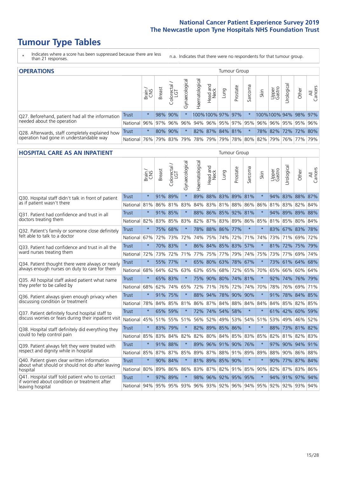# **Tumour Type Tables**

- \* Indicates where a score has been suppressed because there are less than 21 responses.
- n.a. Indicates that there were no respondents for that tumour group.

| <b>OPERATIONS</b>                                                                           | Tumour Group |            |               |                   |                |                |                  |      |          |         |                                                                 |                       |                                  |       |                |
|---------------------------------------------------------------------------------------------|--------------|------------|---------------|-------------------|----------------|----------------|------------------|------|----------|---------|-----------------------------------------------------------------|-----------------------|----------------------------------|-------|----------------|
|                                                                                             |              | Brain      | <b>Breast</b> | Colorectal<br>LGT | Gynaecological | Haematological | Head and<br>Neck | Lung | Prostate | Sarcoma | Skin                                                            | Upper<br>Gastro       | $\overline{\sigma}$<br>Irologica | Other | All<br>Cancers |
| Q27. Beforehand, patient had all the information                                            | Trust        | $^\star$   |               | 98% 90%           |                |                | 100%100% 97% 97% |      |          |         |                                                                 | 100%100% 94% 98% 97%  |                                  |       |                |
| needed about the operation                                                                  | National     | 96%        |               | 97% 96%           |                |                |                  |      |          |         | 96% 94% 96% 95% 97% 95% 96%                                     | 96%   95%   95%   96% |                                  |       |                |
| Q28. Afterwards, staff completely explained how<br>operation had gone in understandable way | <b>Trust</b> | $\star$    |               | 80% 90%           |                |                | 82% 87% 84% 81%  |      |          |         |                                                                 | 78% 82% 72% 72% 80%   |                                  |       |                |
|                                                                                             | National l   | <b>76%</b> |               | 79% 83%           |                |                |                  |      |          |         | 79%   78%   79%   79%   78%   80%   82%   79%   76%   77%   79% |                       |                                  |       |                |

#### **HOSPITAL CARE AS AN INPATIENT** Tumour Group

|                                                                                                   |              | Brain   | Breast  | Colorectal /<br>LGT | Gynaecological | Haematological | Head and<br>Neck | Lung            | Prostate            | Sarcoma             | Skin                    | Upper<br>Gastro | Urological  | Other           | All<br>Cancers |
|---------------------------------------------------------------------------------------------------|--------------|---------|---------|---------------------|----------------|----------------|------------------|-----------------|---------------------|---------------------|-------------------------|-----------------|-------------|-----------------|----------------|
| Q30. Hospital staff didn't talk in front of patient                                               | Trust        | $\star$ |         | 91% 89%             | $\star$        |                |                  |                 | 89% 88% 83% 89% 81% |                     | $\ast$                  |                 |             | 94% 83% 88% 87% |                |
| as if patient wasn't there                                                                        | National     | 81%     | 86%     | 81%                 | 83%            | 84%            |                  | 83% 81%         | 88%                 | 86%                 | 86%                     |                 | 81% 83%     | 82%             | 84%            |
| 031. Patient had confidence and trust in all<br>doctors treating them                             | Trust        | $\star$ | 91% 85% |                     | $\star$        |                |                  |                 | 88% 86% 85% 92% 81% |                     |                         | 94%             |             | 89% 89% 88%     |                |
|                                                                                                   | National     | 82%     | 83% 85% |                     | 83%            |                |                  |                 |                     | 82% 87% 83% 89% 86% | 85%                     |                 | 81% 85%     | 80% 84%         |                |
| Q32. Patient's family or someone close definitely                                                 | <b>Trust</b> | $\star$ | 75%     | 68%                 |                |                |                  | 78% 88% 86% 77% |                     | $\star$             | $\star$                 |                 |             | 83% 67% 83% 78% |                |
| felt able to talk to a doctor                                                                     | National     | 67%     | 72%     | 73%                 | 72%            | 74%            |                  | 75% 74%         | 72%                 | 71%                 | 74%                     |                 | 73% 71%     | 69%             | 72%            |
| Q33. Patient had confidence and trust in all the                                                  | <b>Trust</b> | $\star$ |         | 70% 83%             | $\star$        |                |                  |                 | 86% 84% 85% 83%     | 57%                 | $\ast$                  |                 |             | 81% 72% 75% 79% |                |
| ward nurses treating them                                                                         | National     | 72%     | 73%     | 72%                 | 71%            |                | 77% 75%          | 77%             | 79%                 | 74%                 | 75%                     | 73%             | 77%         | 69%             | 74%            |
| Q34. Patient thought there were always or nearly<br>always enough nurses on duty to care for them | <b>Trust</b> | $\star$ |         | 55% 77%             | $\star$        |                | 65% 80% 63%      |                 | 78%                 | 67%                 | $\star$                 | 73%             |             | 61% 64% 68%     |                |
|                                                                                                   | National     | 68%     | 64%     | 62%                 | 63%            | 63%            | 65%              | 68%             | 72%                 | 65%                 | 70%                     | 65%             | 66%         | 60%             | 64%            |
| Q35. All hospital staff asked patient what name                                                   | Trust        | $\star$ | 65% 83% |                     |                |                |                  |                 | 75% 90% 80% 74% 81% |                     |                         |                 |             | 92% 74% 76% 79% |                |
| they prefer to be called by                                                                       | National     | 68%     | 62%     | 74%                 | 65%            | 72%            | 71%              | 76%             | 72%                 | 74%                 | 70%                     | 78%             | 76%         | 69%             | 71%            |
| Q36. Patient always given enough privacy when                                                     | Trust        | $\star$ | 91% 75% |                     | $\star$        |                |                  | 88% 94% 78%     | 90%                 | 90%                 | $\star$                 | 91%             |             | 78% 84% 85%     |                |
| discussing condition or treatment                                                                 | National     | 78%     |         | 84% 85%             | 81%            |                |                  | 86% 87% 84%     | 88%                 | 84%                 | 84%                     |                 | 84% 85%     | 82% 85%         |                |
| Q37. Patient definitely found hospital staff to                                                   | <b>Trust</b> | $\star$ | 65%     | 59%                 | $\star$        |                | 72% 74%          | 54%             | 58%                 | $\star$             | $\star$                 |                 |             | 61% 42% 60%     | 59%            |
| discuss worries or fears during their inpatient visit                                             | National     | 45%     |         | 51% 55%             | 51%            |                |                  | 56% 52% 49% 53% |                     |                     | 54% 51%                 |                 | 53% 49%     | 46% 52%         |                |
| Q38. Hospital staff definitely did everything they                                                | Trust        | $\star$ | 83% 79% |                     | $\star$        |                |                  | 82% 89% 85% 86% |                     | $\star$             | $\ast$                  | 88%             |             | 73% 81% 82%     |                |
| could to help control pain                                                                        | National     | 85%     | 83%     | 84%                 | 82%            | 82%            | 80%              | 84%             | 85%                 | 83%                 | 85%                     | 82%             | 81%         | 82%             | 83%            |
| Q39. Patient always felt they were treated with                                                   | Trust        | $\star$ | 91% 88% |                     | $\star$        | 89%            |                  |                 | 96% 91% 90% 76%     |                     |                         |                 |             | 97% 90% 94% 91% |                |
| respect and dignity while in hospital                                                             | National 85% |         | 87% 87% |                     | 85%            |                |                  |                 | 89% 87% 88% 91% 89% |                     | 89%                     |                 |             | 88% 90% 86% 88% |                |
| Q40. Patient given clear written information<br>about what should or should not do after leaving  | Trust        | $\star$ | 90% 84% |                     | $\star$        |                |                  | 81% 89% 85%     | 90%                 | $\star$             | $\star$                 | 90%             |             | 77% 87% 84%     |                |
| hospital                                                                                          | National     | 80%     | 89%     | 86%                 | 86%            |                |                  | 83% 87% 82%     | 91%                 | 85%                 | 90%                     |                 | 82% 87%     | 83%             | 86%            |
| Q41. Hospital staff told patient who to contact<br>if worried about condition or treatment after  | <b>Trust</b> | $\star$ | 97%     | 89%                 | $\star$        |                |                  | 98% 96% 92%     | 95%                 | 95%                 | $\star$                 |                 | 94% 91% 97% |                 | 94%            |
| leaving hospital                                                                                  | National 94% |         |         | 95% 95% 93%         |                |                |                  |                 |                     |                     | 96% 93% 92% 96% 94% 95% |                 |             | 92% 92% 93% 94% |                |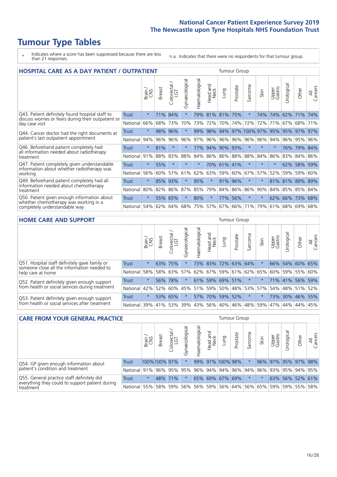# **Tumour Type Tables**

\* Indicates where a score has been suppressed because there are less than 21 responses.

n.a. Indicates that there were no respondents for that tumour group.

| <b>HOSPITAL CARE AS A DAY PATIENT / OUTPATIENT</b>                                                                       |              |         |               |                              |                |                       |                     |             |          | <b>Tumour Group</b>      |         |                 |            |                 |                |  |  |  |
|--------------------------------------------------------------------------------------------------------------------------|--------------|---------|---------------|------------------------------|----------------|-----------------------|---------------------|-------------|----------|--------------------------|---------|-----------------|------------|-----------------|----------------|--|--|--|
|                                                                                                                          |              | Brain   | <b>Breast</b> | ー<br>olorectal /<br>LGT<br>Ũ | Gynaecological | <b>Haematological</b> | and<br>Neck<br>Head | Lung        | Prostate | arcoma<br>$\overline{ }$ | Skin    | Upper<br>Gastro | Jrological | Other           | All<br>Cancers |  |  |  |
| Q43. Patient definitely found hospital staff to<br>discuss worries or fears during their outpatient or<br>day case visit | <b>Trust</b> | $\star$ | 71%           | 84%                          | $\star$        | 79%                   | 81% 81%             |             | 75%      | $\ast$                   | 74%     | 74%             | 62%        | 171%            | 74%            |  |  |  |
|                                                                                                                          | National     | 66%     | 68%           | 73%                          | 70%            | 73%                   | 72%                 | 70%         | 74%      | 72%                      | 72%     | 71%             | 67%        | 68% 71%         |                |  |  |  |
| Q44. Cancer doctor had the right documents at<br>patient's last outpatient appointment                                   | Trust        | $\star$ | 98%           | 96%                          |                | 99%                   | 98%                 | 94%         | 97%      | 100% 97%                 |         | 95%             |            | 95% 97%         | 97%            |  |  |  |
|                                                                                                                          | National     | 94%     | 96%           | 96%                          | 96%            | 97%                   | 96%                 | 96% 96%     |          | 96%                      | 96%     | 94%             | 96%        | 95%             | 96%            |  |  |  |
| Q46. Beforehand patient completely had                                                                                   | Trust        | $\star$ | 81%           |                              |                | 77%                   |                     | 94% 90%     | 93%      | $\star$                  |         | $\star$         | 76%        | 79%             | 84%            |  |  |  |
| all information needed about radiotherapy<br>treatment                                                                   | National     | 91%     | 88%           | 83%                          | 88%            | 84%                   |                     | 86% 86% 88% |          | 88%                      | 84%     | 86%             | 83%        | 84%             | 86%            |  |  |  |
| Q47. Patient completely given understandable<br>information about whether radiotherapy was                               | <b>Trust</b> | $\star$ | 55%           | $\star$                      | $\star$        | $\star$               |                     | 70% 61% 41% |          | $\star$                  | $\star$ | $\star$         | 62%        | 58%             | 59%            |  |  |  |
| working                                                                                                                  | National     | 56%     | 60%           | 57%                          | 61%            | 62%                   | 63%                 | 59%         | 60%      | 67%                      | 57%     | 52%             | 59%        | 59%             | 60%            |  |  |  |
| Q49. Beforehand patient completely had all                                                                               | <b>Trust</b> | $\star$ | 85%           | 93%                          | $\star$        | 95%                   | $\star$             |             | 91% 96%  | $\star$                  |         |                 |            | 81% 81% 89% 89% |                |  |  |  |
| information needed about chemotherapy<br>treatment                                                                       | National     | 80%     | 82%           | 86%                          | 87%            | 85%                   | 79%                 |             | 84% 86%  | 86%                      | 90%     |                 |            | 84% 85% 85%     | 84%            |  |  |  |
| Q50. Patient given enough information about<br>whether chemotherapy was working in a<br>completely understandable way    | <b>Trust</b> | $\star$ | 55%           | 65%                          | $\star$        | 80%                   | $\star$             | 77%         | 56%      | $^\star$                 | $\ast$  | 62%             |            | 66% 73%         | 68%            |  |  |  |
|                                                                                                                          | National     | 54%     | 62%           | 64%                          | 68%            | 75%                   | 57%                 | 67%         | 66%      | 71%                      | 79%     | 61%             |            | 68% 69%         | 68%            |  |  |  |
|                                                                                                                          |              |         |               |                              |                |                       |                     |             |          |                          |         |                 |            |                 |                |  |  |  |

| <b>HOME CARE AND SUPPORT</b>                                                                    | <b>Tumour Group</b> |         |               |            |                                     |                |                         |      |          |                 |      |                 |                 |         |                |
|-------------------------------------------------------------------------------------------------|---------------------|---------|---------------|------------|-------------------------------------|----------------|-------------------------|------|----------|-----------------|------|-----------------|-----------------|---------|----------------|
|                                                                                                 |                     | Brain   | <b>Breast</b> | Colorectal | $\overline{\sigma}$<br>Gynaecologic | Haematological | ad and<br>Neck<br>Head  | Lung | Prostate | Sarcoma         | Skin | Upper<br>Gastro | Jrologica       | Other   | All<br>Cancers |
| Q51. Hospital staff definitely gave family or<br>someone close all the information needed to    | <b>Trust</b>        | $\star$ | 63% 75%       |            |                                     |                | 73% 83% 72% 63% 64%     |      |          |                 |      |                 | 66% 54% 60% 65% |         |                |
| help care at home                                                                               | National            | 58%     | 58%           | 63%        | 57%                                 |                | 62% 67% 59% 61% 62% 65% |      |          |                 |      | 60%             |                 | 59% 55% | 60%            |
| Q52. Patient definitely given enough support<br>from health or social services during treatment | <b>Trust</b>        | $\star$ | 56%           | 78%        | $\star$                             |                | 61% 59% 69% 51%         |      |          | $\star$         |      |                 | 71% 41% 56%     |         | 59%            |
|                                                                                                 | National            | 42%     | 52%           | 60%        | 45%                                 | 51%            | 59%                     | 50%  |          | 48%   53%   57% |      | 54%             |                 | 48% 51% | 52%            |
| Q53. Patient definitely given enough support<br>from health or social services after treatment  | Trust               | $\star$ | 53% 65%       |            |                                     |                | 57% 70%                 |      | 59% 52%  | $\ast$          |      |                 | 73% 30% 46% 55% |         |                |
|                                                                                                 | National            | 39%     |               | 41% 53%    | 39%                                 |                | 43% 56% 40%             |      | 46%      | 48%             | 59%  | 47%             |                 | 44% 44% | 45%            |

| <b>CARE FROM YOUR GENERAL PRACTICE</b>                       |              |               |               |                   |                |                | <b>Tumour Group</b> |                                         |          |         |      |                 |                 |       |                |
|--------------------------------------------------------------|--------------|---------------|---------------|-------------------|----------------|----------------|---------------------|-----------------------------------------|----------|---------|------|-----------------|-----------------|-------|----------------|
|                                                              |              | Brain.<br>CNS | <b>Breast</b> | Colorectal<br>LGT | Gynaecological | Haematological | Head and<br>Neck    | Lung                                    | Prostate | Sarcoma | Skin | Upper<br>Gastro | Urologica       | Other | All<br>Cancers |
| Q54. GP given enough information about                       | <b>Trust</b> |               | 100%100%97%   |                   |                |                |                     | 99% 97% 100% 98%                        |          |         | 96%  | 97% 95% 97% 98% |                 |       |                |
| patient's condition and treatment                            | National     | 91%           |               |                   | 96% 95% 95%    |                |                     | 96% 94% 94% 96% 94% 96% 93% 93% 94% 95% |          |         |      |                 |                 |       |                |
| Q55. General practice staff definitely did                   | Trust        | $\star$       | 48% 71%       |                   |                |                |                     | 65% 69% 67% 69%                         |          | $\star$ |      |                 | 63% 56% 52% 61% |       |                |
| everything they could to support patient during<br>treatment |              | National 55%  |               | 58% 59%           |                |                |                     | 56% 56% 59% 56% 64% 56% 65% 59% 59% 55% |          |         |      |                 |                 |       | 58%            |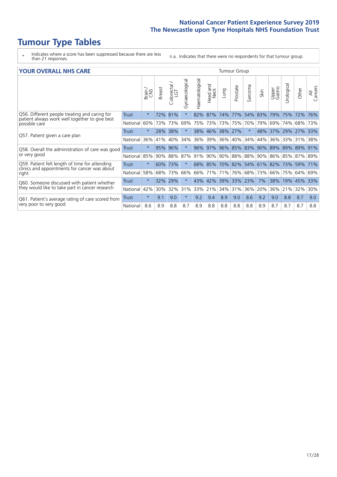# **Tumour Type Tables**

\* Indicates where a score has been suppressed because there are less than 21 responses.

n.a. Indicates that there were no respondents for that tumour group.

| <b>YOUR OVERALL NHS CARE</b>                                                                                     |              |         |               |                            |                |                       |                                |      | <b>Tumour Group</b> |          |         |                 |            |         |                |  |  |  |
|------------------------------------------------------------------------------------------------------------------|--------------|---------|---------------|----------------------------|----------------|-----------------------|--------------------------------|------|---------------------|----------|---------|-----------------|------------|---------|----------------|--|--|--|
|                                                                                                                  |              | Brain   | <b>Breast</b> | ╮<br>olorectal<br>LGT<br>Ū | Gynaecological | <b>Haematological</b> | <b>Bad and</b><br>Neck<br>Head | Lung | Prostate            | Sarcoma  | Skin    | Upper<br>Gastro | Urological | Other   | All<br>Cancers |  |  |  |
| Q56. Different people treating and caring for<br>patient always work well together to give best<br>possible care | Trust        | $\star$ | 72%           | 81%                        | $\star$        | 82%                   | 87%                            | 74%  | 77%                 | 54%      | 83%     | 79%             | 75%        | 72%     | 76%            |  |  |  |
|                                                                                                                  | National     | 60%     | 73%           | 73%                        | 69%            | 75%                   | 73%                            | 73%  | 75%                 | 70%      | 79%     | 69%             | 74%        | 68%     | 73%            |  |  |  |
| Q57. Patient given a care plan                                                                                   | Trust        | $\star$ | 28%           | 38%                        | $\star$        |                       | 38% 46%                        |      | 38% 27%             | $^\star$ | 48%     | 37%             | 29%        | 27%     | 33%            |  |  |  |
|                                                                                                                  | National     | 36%     | 41%           | 40%                        | 34%            | 36%                   | 39%                            | 36%  | 40%                 | 34%      | 44%     | 36%             |            | 33% 31% | 38%            |  |  |  |
| Q58. Overall the administration of care was good                                                                 | <b>Trust</b> | $\star$ | 95%           | 96%                        | $\star$        | 96%                   | 97%                            | 96%  | 85%                 | 83%      | 90%     | 89%             | 89%        | 89%     | 91%            |  |  |  |
| or very good                                                                                                     | National     | 85%     | 90%           | 88%                        | 87%            | 91%                   | 90%                            | 90%  | 88%                 | 88%      | 90%     | 86%             | 85%        | 87%     | 89%            |  |  |  |
| Q59. Patient felt length of time for attending                                                                   | Trust        | $\star$ | 60%           | 73%                        |                | $68\%$                | 85%                            | 70%  | 82%                 |          | 54% 61% | 82%             | 73%        | 59%     | 71%            |  |  |  |
| clinics and appointments for cancer was about<br>right                                                           | National     | 58%     | 68%           | 73%                        | 66%            | 66%                   | 71%                            |      | 71% 76%             | 68%      | 73%     | 66%             |            | 75% 64% | 69%            |  |  |  |
| Q60. Someone discussed with patient whether                                                                      | Trust        | $\star$ | 32%           | 29%                        | $\star$        |                       | 43% 42%                        |      | 39% 33%             | 23%      | 7%      | 38%             | 19%        | 45%     | 33%            |  |  |  |
| they would like to take part in cancer research                                                                  | National     | 42%     | 30%           | 32%                        | 31%            | 33%                   | 21%                            | 34%  | 31%                 | 36%      | 20%     | 36%             | 21%        | 32%     | 30%            |  |  |  |
| Q61. Patient's average rating of care scored from<br>very poor to very good                                      | Trust        | $\star$ | 9.1           | 9.0                        | $\star$        | 9.2                   | 9.4                            | 8.9  | 9.0                 | 8.6      | 9.2     | 9.0             | 8.8        | 8.7     | 9.0            |  |  |  |
|                                                                                                                  | National     | 8.6     | 8.9           | 8.8                        | 8.7            | 8.9                   | 8.8                            | 8.8  | 8.8                 | 8.8      | 8.9     | 8.7             | 8.7        | 8.7     | 8.8            |  |  |  |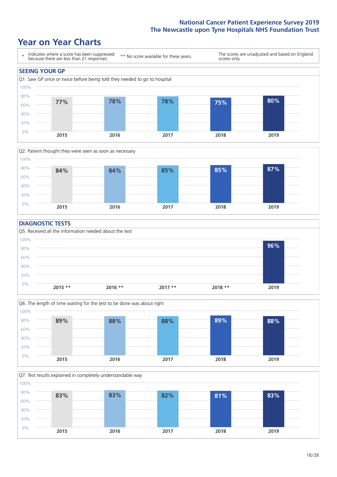# **Year on Year Charts**





#### **DIAGNOSTIC TESTS**





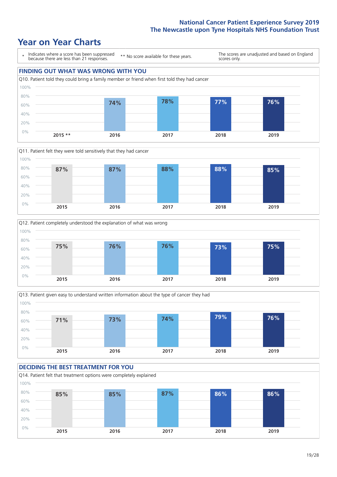







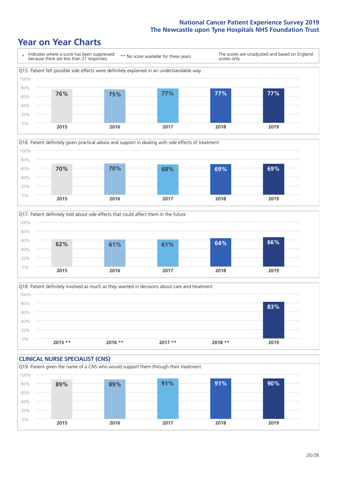





Q18. Patient definitely involved as much as they wanted in decisions about care and treatment  $0%$ 20% 40% 60% 80% 100% **2015 \*\* 2016 \*\* 2017 \*\* 2018 \*\* 2019 83%**

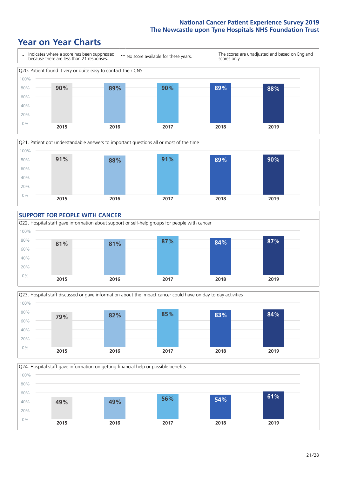









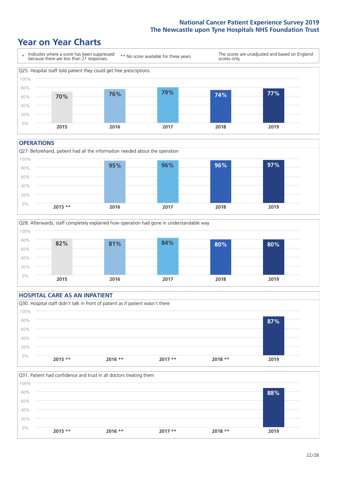# **Year on Year Charts**



#### **OPERATIONS**





### **HOSPITAL CARE AS AN INPATIENT** Q30. Hospital staff didn't talk in front of patient as if patient wasn't there 0% 20% 40% 60% 80% 100% **2015 \*\* 2016 \*\* 2017 \*\* 2018 \*\* 2019 87%**

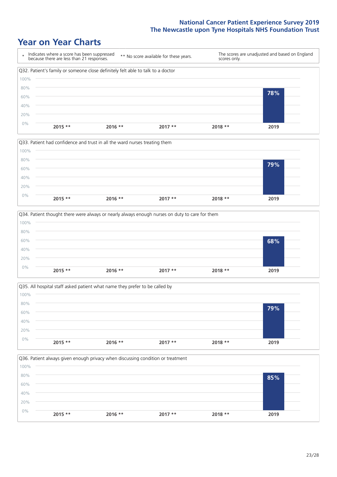







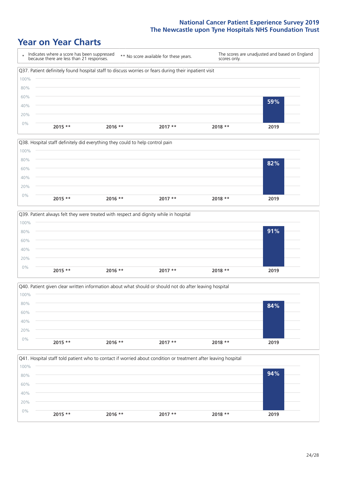







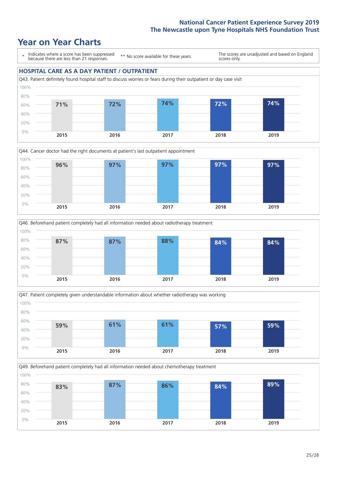# **Year on Year Charts**

\* Indicates where a score has been suppressed because there are less than 21 responses. \*\* No score available for these years. The scores are unadjusted and based on England scores only. **HOSPITAL CARE AS A DAY PATIENT / OUTPATIENT** Q43. Patient definitely found hospital staff to discuss worries or fears during their outpatient or day case visit 80% 100%









Q49. Beforehand patient completely had all information needed about chemotherapy treatment 0% 20% 40% 60% 80% 100% **2015 2016 2017 2018 2019 83% 87% 86% 84% 89%**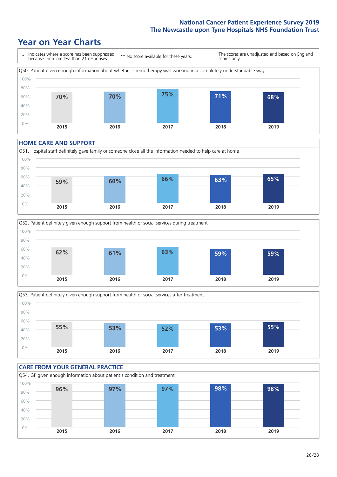# **Year on Year Charts**



#### **HOME CARE AND SUPPORT**







#### **CARE FROM YOUR GENERAL PRACTICE** Q54. GP given enough information about patient's condition and treatment 0% 20% 40% 60% 80% 100% **2015 2016 2017 2018 2019 96% 97% 97% 98% 98%**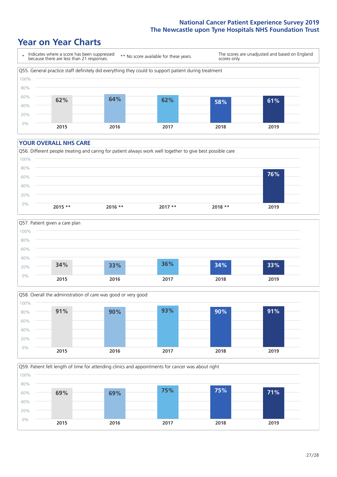# **Year on Year Charts**



#### **YOUR OVERALL NHS CARE**







Q59. Patient felt length of time for attending clinics and appointments for cancer was about right 0% 20% 40% 60% 80% 100% **2015 2016 2017 2018 2019 69% 69% 75% 75% 71%**